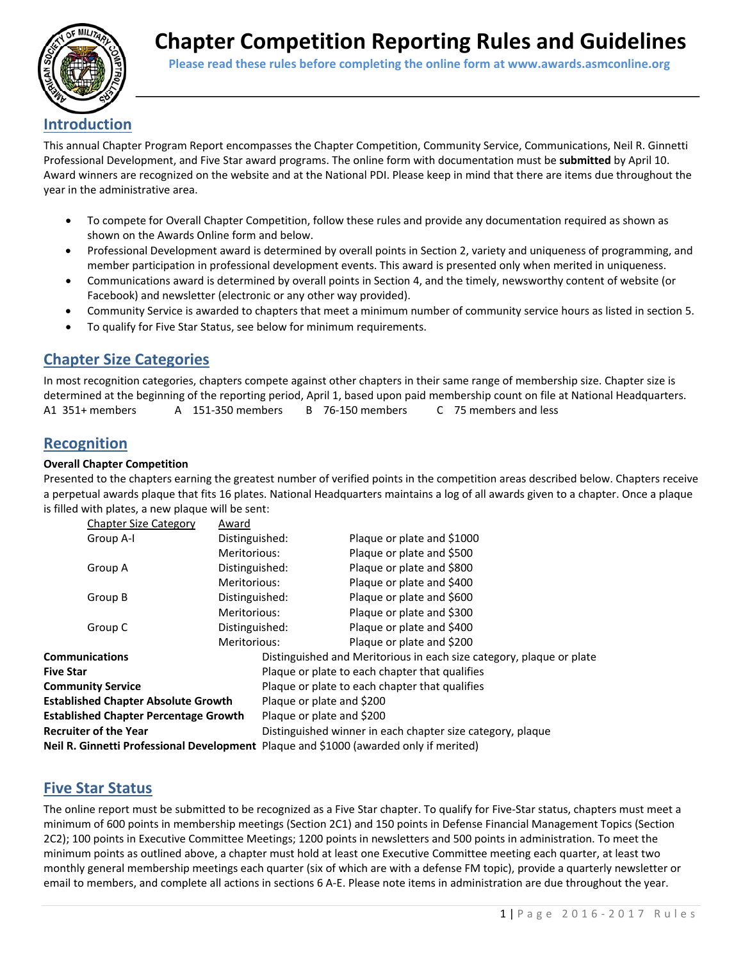

 **Please read these rules before completing the online form at www.awards.asmconline.org**

## **Introduction**

This annual Chapter Program Report encompasses the Chapter Competition, Community Service, Communications, Neil R. Ginnetti Professional Development, and Five Star award programs. The online form with documentation must be **submitted** by April 10. Award winners are recognized on the website and at the National PDI. Please keep in mind that there are items due throughout the year in the administrative area.

- To compete for Overall Chapter Competition, follow these rules and provide any documentation required as shown as shown on the Awards Online form and below.
- Professional Development award is determined by overall points in Section 2, variety and uniqueness of programming, and member participation in professional development events. This award is presented only when merited in uniqueness.
- Communications award is determined by overall points in Section 4, and the timely, newsworthy content of website (or Facebook) and newsletter (electronic or any other way provided).
- Community Service is awarded to chapters that meet a minimum number of community service hours as listed in section 5.
- To qualify for Five Star Status, see below for minimum requirements.

# **Chapter Size Categories**

In most recognition categories, chapters compete against other chapters in their same range of membership size. Chapter size is determined at the beginning of the reporting period, April 1, based upon paid membership count on file at National Headquarters. A1 351+ members A 151‐350 members B 76‐150 members C 75 members and less

## **Recognition**

## **Overall Chapter Competition**

Presented to the chapters earning the greatest number of verified points in the competition areas described below. Chapters receive a perpetual awards plaque that fits 16 plates. National Headquarters maintains a log of all awards given to a chapter. Once a plaque is filled with plates, a new plaque will be sent:

| <b>Chapter Size Category</b>                                                           | Award          |                                                            |                                                                      |  |  |
|----------------------------------------------------------------------------------------|----------------|------------------------------------------------------------|----------------------------------------------------------------------|--|--|
| Group A-I                                                                              | Distinguished: |                                                            | Plaque or plate and \$1000                                           |  |  |
|                                                                                        | Meritorious:   |                                                            | Plaque or plate and \$500                                            |  |  |
| Group A                                                                                | Distinguished: |                                                            | Plaque or plate and \$800                                            |  |  |
| Meritorious:<br>Distinguished:<br>Group B<br>Meritorious:<br>Distinguished:<br>Group C |                |                                                            | Plaque or plate and \$400                                            |  |  |
|                                                                                        |                |                                                            | Plaque or plate and \$600                                            |  |  |
|                                                                                        |                |                                                            | Plaque or plate and \$300                                            |  |  |
|                                                                                        |                |                                                            | Plaque or plate and \$400                                            |  |  |
|                                                                                        | Meritorious:   |                                                            | Plaque or plate and \$200                                            |  |  |
| <b>Communications</b>                                                                  |                |                                                            | Distinguished and Meritorious in each size category, plaque or plate |  |  |
| <b>Five Star</b>                                                                       |                |                                                            | Plaque or plate to each chapter that qualifies                       |  |  |
| <b>Community Service</b>                                                               |                | Plaque or plate to each chapter that qualifies             |                                                                      |  |  |
| <b>Established Chapter Absolute Growth</b>                                             |                | Plaque or plate and \$200                                  |                                                                      |  |  |
| <b>Established Chapter Percentage Growth</b>                                           |                | Plaque or plate and \$200                                  |                                                                      |  |  |
| <b>Recruiter of the Year</b>                                                           |                | Distinguished winner in each chapter size category, plaque |                                                                      |  |  |
| Neil R. Ginnetti Professional Development Plaque and \$1000 (awarded only if merited)  |                |                                                            |                                                                      |  |  |

# **Five Star Status**

The online report must be submitted to be recognized as a Five Star chapter. To qualify for Five‐Star status, chapters must meet a minimum of 600 points in membership meetings (Section 2C1) and 150 points in Defense Financial Management Topics (Section 2C2); 100 points in Executive Committee Meetings; 1200 points in newsletters and 500 points in administration. To meet the minimum points as outlined above, a chapter must hold at least one Executive Committee meeting each quarter, at least two monthly general membership meetings each quarter (six of which are with a defense FM topic), provide a quarterly newsletter or email to members, and complete all actions in sections 6 A‐E. Please note items in administration are due throughout the year.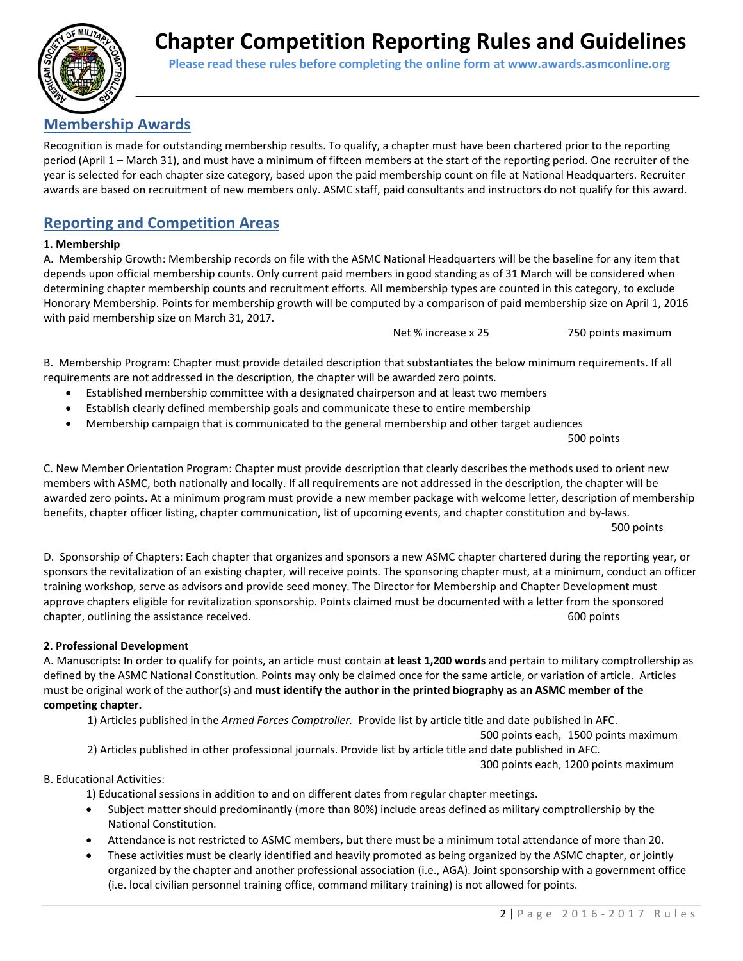

 **Please read these rules before completing the online form at www.awards.asmconline.org**

# **Membership Awards**

Recognition is made for outstanding membership results. To qualify, a chapter must have been chartered prior to the reporting period (April 1 – March 31), and must have a minimum of fifteen members at the start of the reporting period. One recruiter of the year is selected for each chapter size category, based upon the paid membership count on file at National Headquarters. Recruiter awards are based on recruitment of new members only. ASMC staff, paid consultants and instructors do not qualify for this award.

# **Reporting and Competition Areas**

## **1. Membership**

A. Membership Growth: Membership records on file with the ASMC National Headquarters will be the baseline for any item that depends upon official membership counts. Only current paid members in good standing as of 31 March will be considered when determining chapter membership counts and recruitment efforts. All membership types are counted in this category, to exclude Honorary Membership. Points for membership growth will be computed by a comparison of paid membership size on April 1, 2016 with paid membership size on March 31, 2017.

Net % increase x 25 750 points maximum

B. Membership Program: Chapter must provide detailed description that substantiates the below minimum requirements. If all requirements are not addressed in the description, the chapter will be awarded zero points.

- Established membership committee with a designated chairperson and at least two members
- Establish clearly defined membership goals and communicate these to entire membership
- Membership campaign that is communicated to the general membership and other target audiences

500 points

C. New Member Orientation Program: Chapter must provide description that clearly describes the methods used to orient new members with ASMC, both nationally and locally. If all requirements are not addressed in the description, the chapter will be awarded zero points. At a minimum program must provide a new member package with welcome letter, description of membership benefits, chapter officer listing, chapter communication, list of upcoming events, and chapter constitution and by-laws. 500 points

D. Sponsorship of Chapters: Each chapter that organizes and sponsors a new ASMC chapter chartered during the reporting year, or sponsors the revitalization of an existing chapter, will receive points. The sponsoring chapter must, at a minimum, conduct an officer training workshop, serve as advisors and provide seed money. The Director for Membership and Chapter Development must approve chapters eligible for revitalization sponsorship. Points claimed must be documented with a letter from the sponsored chapter, outlining the assistance received. **Solution** is a set of the set of the set of the set of the set of the set of the set of the set of the set of the set of the set of the set of the set of the set of the set of t

## **2. Professional Development**

A. Manuscripts: In order to qualify for points, an article must contain **at least 1,200 words** and pertain to military comptrollership as defined by the ASMC National Constitution. Points may only be claimed once for the same article, or variation of article. Articles must be original work of the author(s) and **must identify the author in the printed biography as an ASMC member of the competing chapter.** 

1) Articles published in the *Armed Forces Comptroller.* Provide list by article title and date published in AFC.

 500 points each, 1500 points maximum 2) Articles published in other professional journals. Provide list by article title and date published in AFC.

300 points each, 1200 points maximum

## B. Educational Activities:

1) Educational sessions in addition to and on different dates from regular chapter meetings.

- Subject matter should predominantly (more than 80%) include areas defined as military comptrollership by the National Constitution.
- Attendance is not restricted to ASMC members, but there must be a minimum total attendance of more than 20.
- These activities must be clearly identified and heavily promoted as being organized by the ASMC chapter, or jointly organized by the chapter and another professional association (i.e., AGA). Joint sponsorship with a government office (i.e. local civilian personnel training office, command military training) is not allowed for points.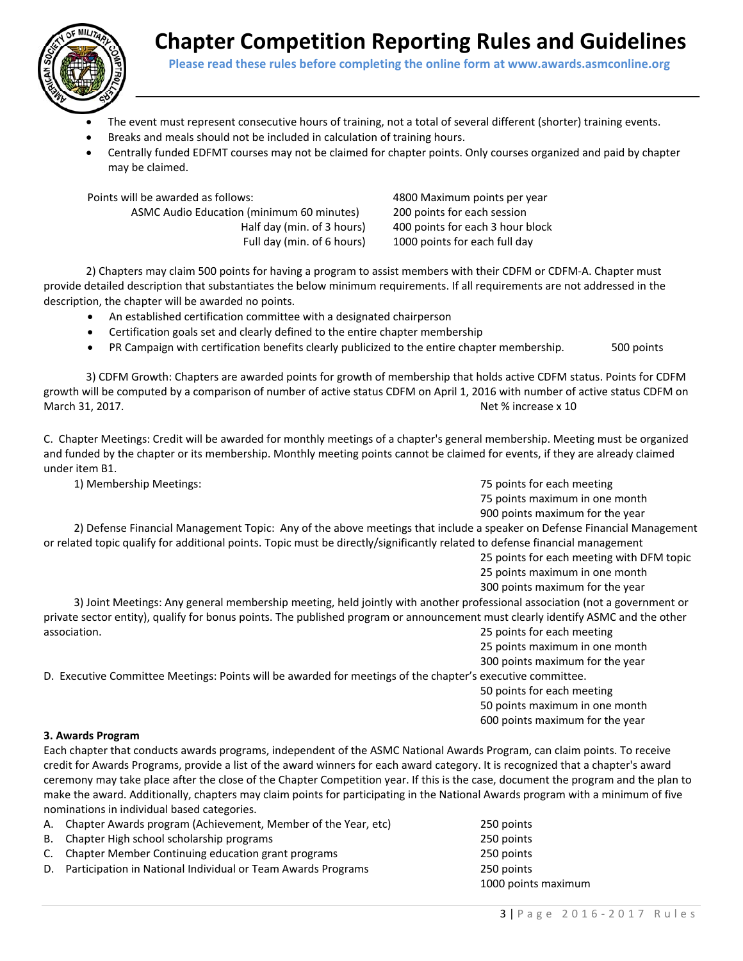



- The event must represent consecutive hours of training, not a total of several different (shorter) training events.
- Breaks and meals should not be included in calculation of training hours.
- Centrally funded EDFMT courses may not be claimed for chapter points. Only courses organized and paid by chapter may be claimed.

Points will be awarded as follows: 4800 Maximum points per year

ASMC Audio Education (minimum 60 minutes) 200 points for each session

Half day (min. of 3 hours) 400 points for each 3 hour block Full day (min. of 6 hours) 1000 points for each full day

 2) Chapters may claim 500 points for having a program to assist members with their CDFM or CDFM‐A. Chapter must provide detailed description that substantiates the below minimum requirements. If all requirements are not addressed in the description, the chapter will be awarded no points.

- An established certification committee with a designated chairperson
- Certification goals set and clearly defined to the entire chapter membership
- PR Campaign with certification benefits clearly publicized to the entire chapter membership. 500 points

3) CDFM Growth: Chapters are awarded points for growth of membership that holds active CDFM status. Points for CDFM growth will be computed by a comparison of number of active status CDFM on April 1, 2016 with number of active status CDFM on March 31, 2017. Net % increase x 10

C. Chapter Meetings: Credit will be awarded for monthly meetings of a chapter's general membership. Meeting must be organized and funded by the chapter or its membership. Monthly meeting points cannot be claimed for events, if they are already claimed under item B1.

 1) Membership Meetings: 75 points for each meeting 75 points maximum in one month 900 points maximum for the year

 2) Defense Financial Management Topic: Any of the above meetings that include a speaker on Defense Financial Management or related topic qualify for additional points. Topic must be directly/significantly related to defense financial management

> 25 points for each meeting with DFM topic 25 points maximum in one month

300 points maximum for the year

 3) Joint Meetings: Any general membership meeting, held jointly with another professional association (not a government or private sector entity), qualify for bonus points. The published program or announcement must clearly identify ASMC and the other association. **association** and the set of the set of the set of the set of the set of the set of the set of the set of the set of the set of the set of the set of the set of the set of the set of the set of the set of the

25 points maximum in one month

300 points maximum for the year

D. Executive Committee Meetings: Points will be awarded for meetings of the chapter's executive committee.

 50 points for each meeting 50 points maximum in one month

#### 600 points maximum for the year

### **3. Awards Program**

Each chapter that conducts awards programs, independent of the ASMC National Awards Program, can claim points. To receive credit for Awards Programs, provide a list of the award winners for each award category. It is recognized that a chapter's award ceremony may take place after the close of the Chapter Competition year. If this is the case, document the program and the plan to make the award. Additionally, chapters may claim points for participating in the National Awards program with a minimum of five nominations in individual based categories.

| A. Chapter Awards program (Achievement, Member of the Year, etc) | 250 points          |
|------------------------------------------------------------------|---------------------|
| B. Chapter High school scholarship programs                      | 250 points          |
| C. Chapter Member Continuing education grant programs            | 250 points          |
| D. Participation in National Individual or Team Awards Programs  | 250 points          |
|                                                                  | 1000 points maximum |
|                                                                  |                     |